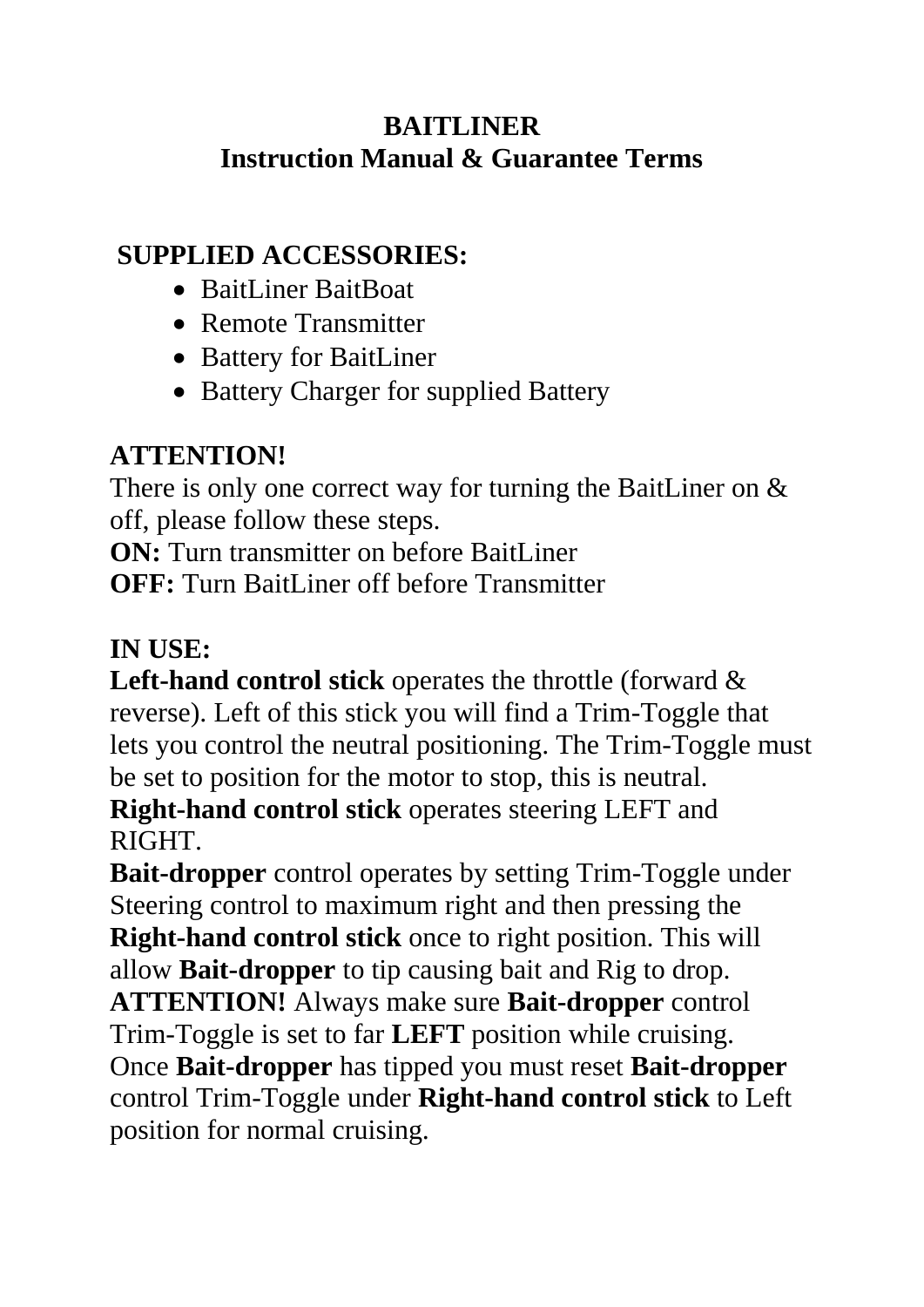### **BAITLINER Instruction Manual & Guarantee Terms**

### **SUPPLIED ACCESSORIES:**

- BaitLiner BaitBoat
- Remote Transmitter
- Battery for BaitLiner
- Battery Charger for supplied Battery

### **ATTENTION!**

There is only one correct way for turning the BaitLiner on  $\&$ off, please follow these steps.

**ON:** Turn transmitter on before BaitLiner **OFF:** Turn BaitLiner off before Transmitter

### **IN USE:**

**Left-hand control stick** operates the throttle (forward & reverse). Left of this stick you will find a Trim-Toggle that lets you control the neutral positioning. The Trim-Toggle must be set to position for the motor to stop, this is neutral. **Right-hand control stick** operates steering LEFT and

RIGHT.

**Bait-dropper** control operates by setting Trim-Toggle under Steering control to maximum right and then pressing the **Right-hand control stick** once to right position. This will allow **Bait-dropper** to tip causing bait and Rig to drop. **ATTENTION!** Always make sure **Bait-dropper** control Trim-Toggle is set to far **LEFT** position while cruising. Once **Bait-dropper** has tipped you must reset **Bait-dropper** control Trim-Toggle under **Right-hand control stick** to Left position for normal cruising.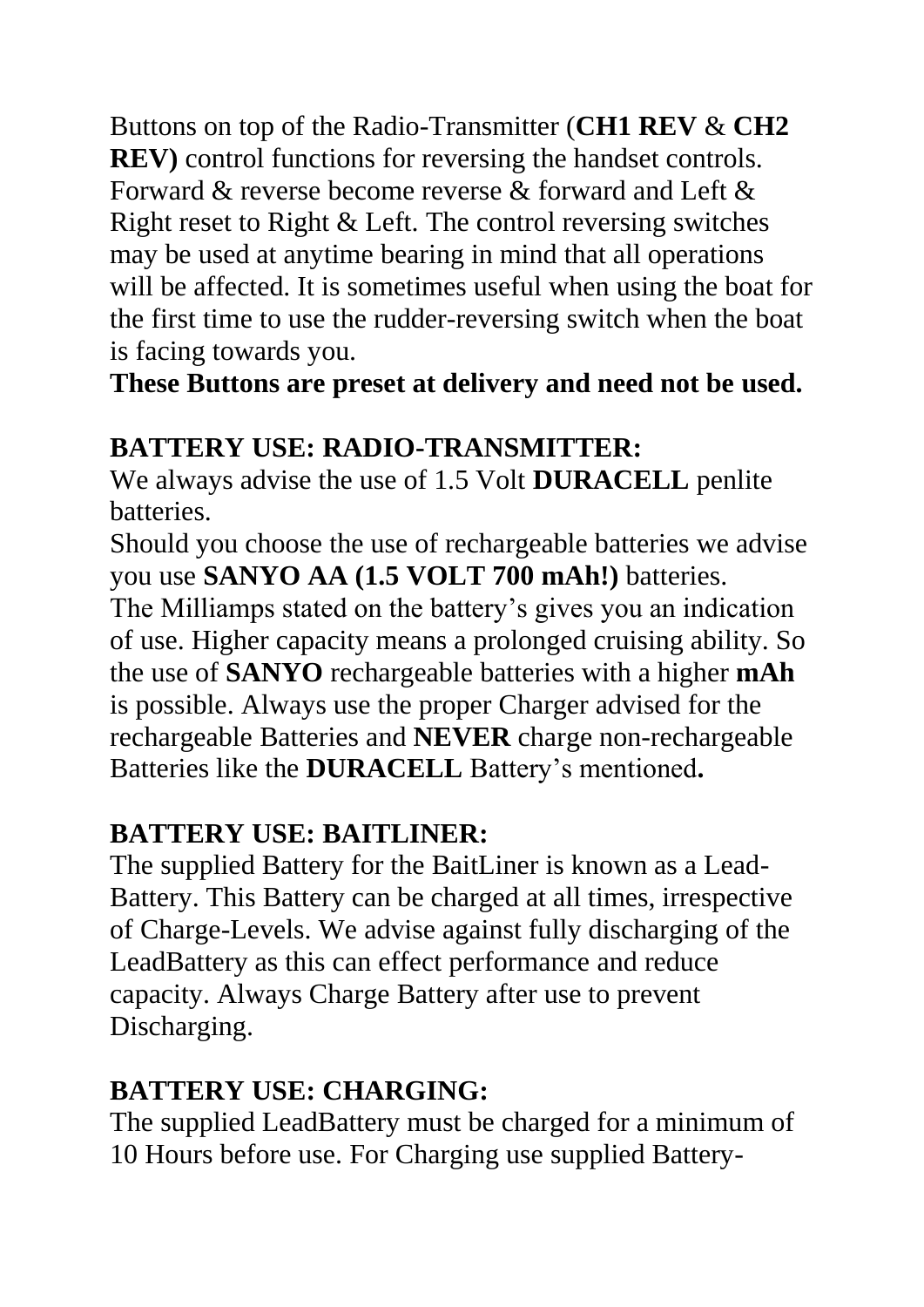Buttons on top of the Radio-Transmitter (**CH1 REV** & **CH2 REV)** control functions for reversing the handset controls. Forward & reverse become reverse & forward and Left & Right reset to Right & Left. The control reversing switches may be used at anytime bearing in mind that all operations will be affected. It is sometimes useful when using the boat for the first time to use the rudder-reversing switch when the boat is facing towards you.

**These Buttons are preset at delivery and need not be used.** 

### **BATTERY USE: RADIO-TRANSMITTER:**

We always advise the use of 1.5 Volt **DURACELL** penlite batteries.

Should you choose the use of rechargeable batteries we advise you use **SANYO AA (1.5 VOLT 700 mAh!)** batteries. The Milliamps stated on the battery's gives you an indication of use. Higher capacity means a prolonged cruising ability. So the use of **SANYO** rechargeable batteries with a higher **mAh**  is possible. Always use the proper Charger advised for the rechargeable Batteries and **NEVER** charge non-rechargeable Batteries like the **DURACELL** Battery's mentioned**.** 

### **BATTERY USE: BAITLINER:**

The supplied Battery for the BaitLiner is known as a Lead-Battery. This Battery can be charged at all times, irrespective of Charge-Levels. We advise against fully discharging of the LeadBattery as this can effect performance and reduce capacity. Always Charge Battery after use to prevent Discharging.

### **BATTERY USE: CHARGING:**

The supplied LeadBattery must be charged for a minimum of 10 Hours before use. For Charging use supplied Battery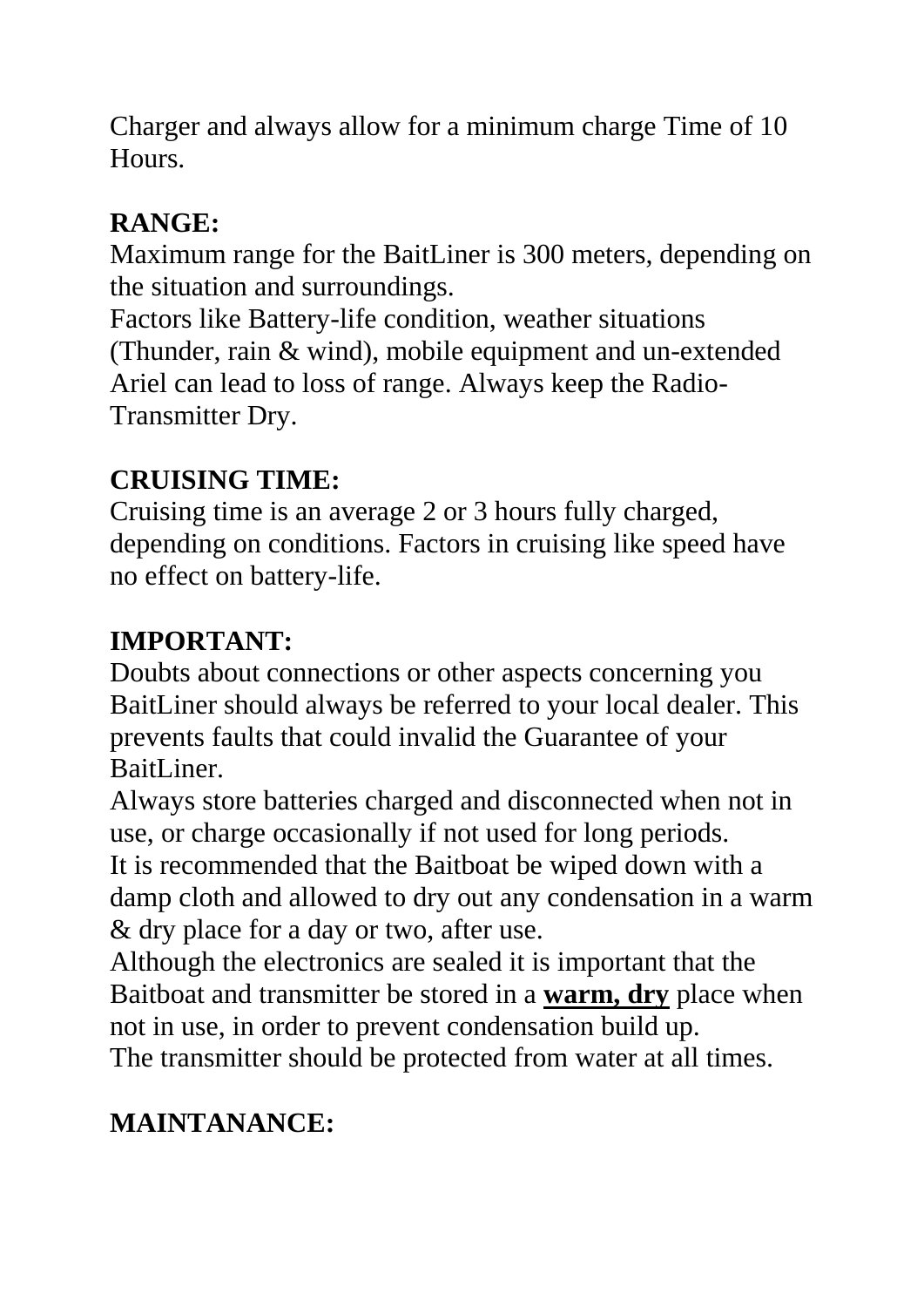Charger and always allow for a minimum charge Time of 10 Hours.

### **RANGE:**

Maximum range for the BaitLiner is 300 meters, depending on the situation and surroundings.

Factors like Battery-life condition, weather situations (Thunder, rain & wind), mobile equipment and un-extended Ariel can lead to loss of range. Always keep the Radio-Transmitter Dry.

## **CRUISING TIME:**

Cruising time is an average 2 or 3 hours fully charged, depending on conditions. Factors in cruising like speed have no effect on battery-life.

# **IMPORTANT:**

Doubts about connections or other aspects concerning you BaitLiner should always be referred to your local dealer. This prevents faults that could invalid the Guarantee of your BaitLiner.

Always store batteries charged and disconnected when not in use, or charge occasionally if not used for long periods. It is recommended that the Baitboat be wiped down with a damp cloth and allowed to dry out any condensation in a warm & dry place for a day or two, after use.

Although the electronics are sealed it is important that the Baitboat and transmitter be stored in a **warm, dry** place when not in use, in order to prevent condensation build up. The transmitter should be protected from water at all times.

# **MAINTANANCE:**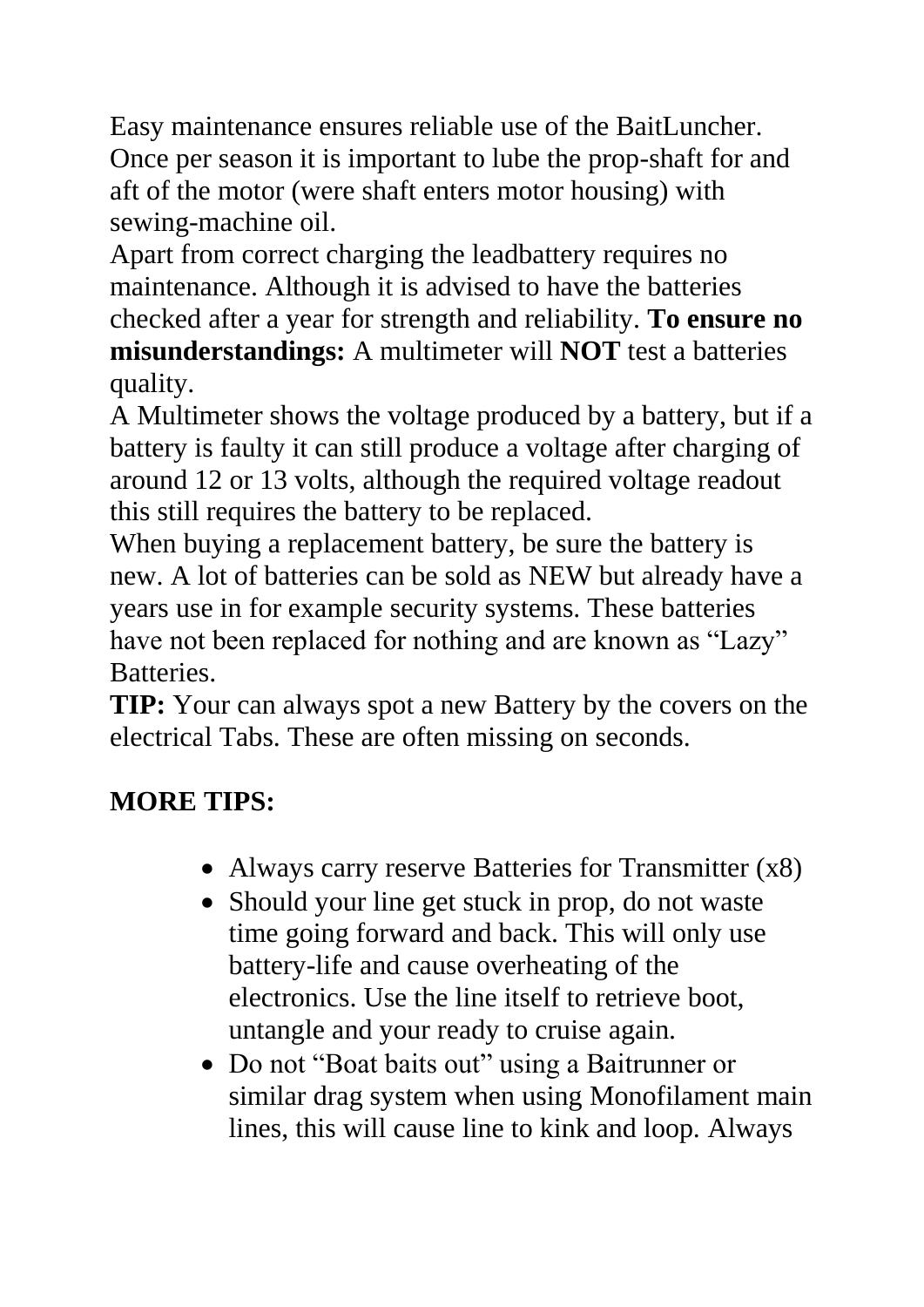Easy maintenance ensures reliable use of the BaitLuncher. Once per season it is important to lube the prop-shaft for and aft of the motor (were shaft enters motor housing) with sewing-machine oil.

Apart from correct charging the leadbattery requires no maintenance. Although it is advised to have the batteries checked after a year for strength and reliability. **To ensure no misunderstandings:** A multimeter will **NOT** test a batteries quality.

A Multimeter shows the voltage produced by a battery, but if a battery is faulty it can still produce a voltage after charging of around 12 or 13 volts, although the required voltage readout this still requires the battery to be replaced.

When buying a replacement battery, be sure the battery is new. A lot of batteries can be sold as NEW but already have a years use in for example security systems. These batteries have not been replaced for nothing and are known as "Lazy" Batteries.

**TIP:** Your can always spot a new Battery by the covers on the electrical Tabs. These are often missing on seconds.

## **MORE TIPS:**

- Always carry reserve Batteries for Transmitter (x8)
- Should your line get stuck in prop, do not waste time going forward and back. This will only use battery-life and cause overheating of the electronics. Use the line itself to retrieve boot, untangle and your ready to cruise again.
- Do not "Boat baits out" using a Baitrunner or similar drag system when using Monofilament main lines, this will cause line to kink and loop. Always